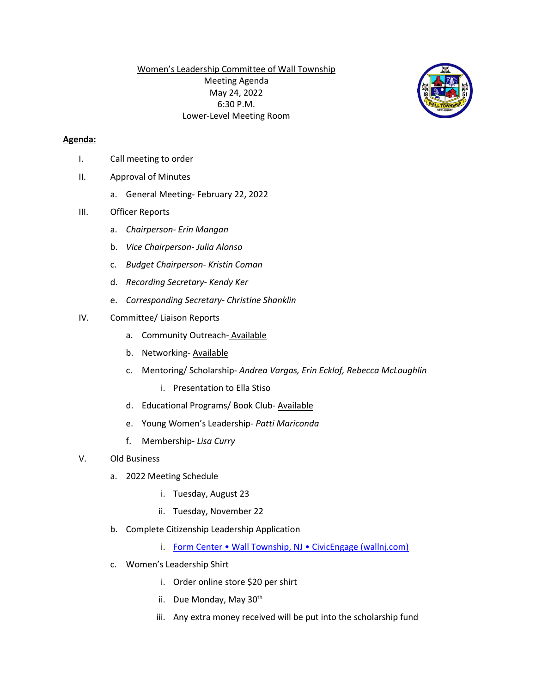Women's Leadership Committee of Wall Township Meeting Agenda May 24, 2022 6:30 P.M. Lower-Level Meeting Room

## **Agenda:**

- I. Call meeting to order
- II. Approval of Minutes
	- a. General Meeting- February 22, 2022

## III. Officer Reports

- a. *Chairperson- Erin Mangan*
- b. *Vice Chairperson- Julia Alonso*
- c. *Budget Chairperson- Kristin Coman*
- d. *Recording Secretary- Kendy Ker*
- e. *Corresponding Secretary- Christine Shanklin*

## IV. Committee/ Liaison Reports

- a. Community Outreach- Available
- b. Networking-Available
- c. Mentoring/ Scholarship- *Andrea Vargas, Erin Ecklof, Rebecca McLoughlin*
	- i. Presentation to Ella Stiso
- d. Educational Programs/ Book Club- Available
- e. Young Women's Leadership- *Patti Mariconda*
- f. Membership- *Lisa Curry*
- V. Old Business
	- a. 2022 Meeting Schedule
		- i. Tuesday, August 23
		- ii. Tuesday, November 22
	- b. Complete Citizenship Leadership Application
		- i. [Form Center Wall Township, NJ CivicEngage \(wallnj.com\)](https://www.wallnj.com/FormCenter/Clerks-Office-11/Citizen-Leadership-Application-59)
	- c. Women's Leadership Shirt
		- i. Order online store \$20 per shirt
		- ii. Due Monday, May 30<sup>th</sup>
		- iii. Any extra money received will be put into the scholarship fund